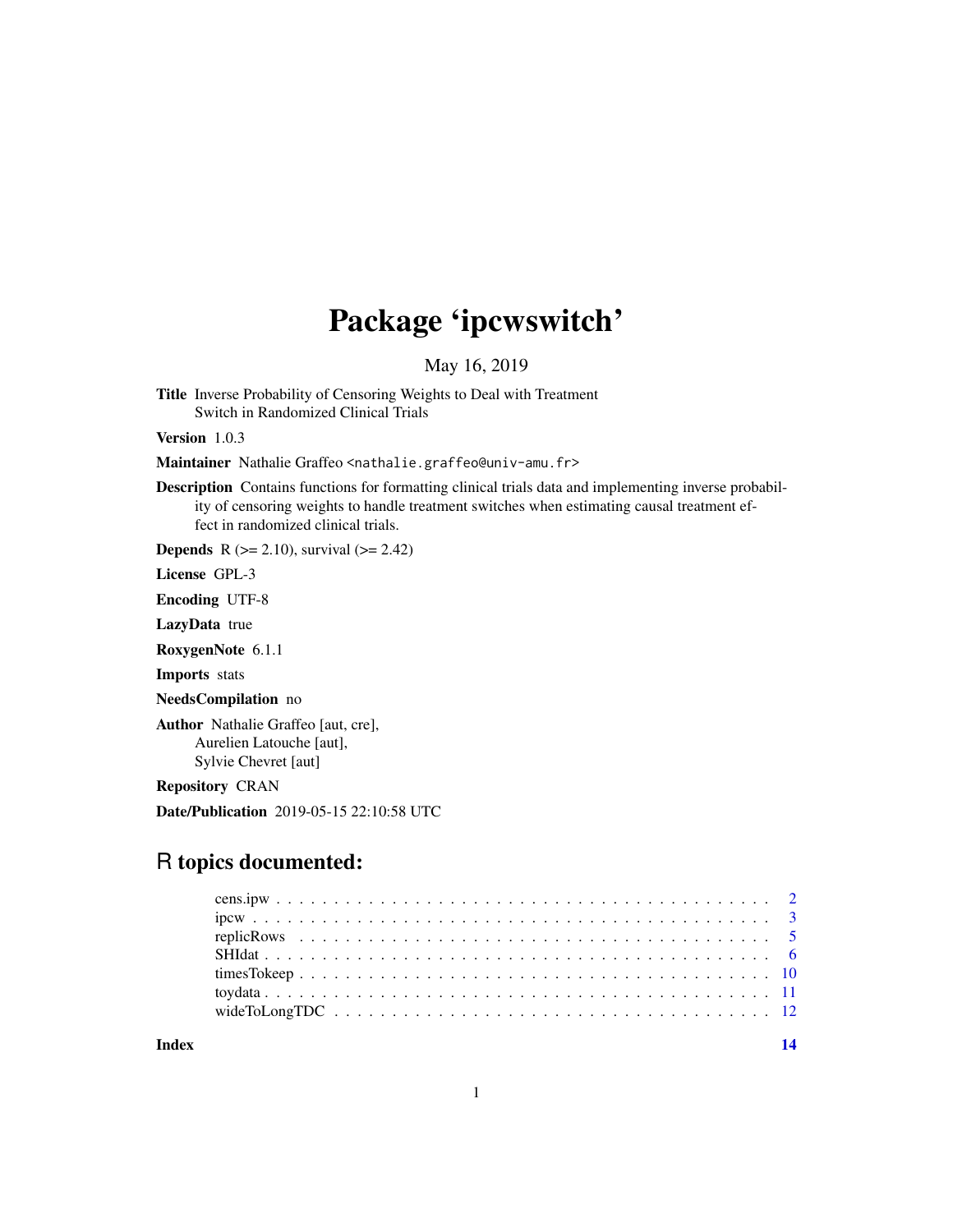## Package 'ipcwswitch'

May 16, 2019

Title Inverse Probability of Censoring Weights to Deal with Treatment Switch in Randomized Clinical Trials

Version 1.0.3

Maintainer Nathalie Graffeo <nathalie.graffeo@univ-amu.fr>

Description Contains functions for formatting clinical trials data and implementing inverse probability of censoring weights to handle treatment switches when estimating causal treatment effect in randomized clinical trials.

**Depends** R ( $>= 2.10$ ), survival ( $>= 2.42$ )

License GPL-3

Encoding UTF-8

LazyData true

RoxygenNote 6.1.1

Imports stats

NeedsCompilation no

Author Nathalie Graffeo [aut, cre], Aurelien Latouche [aut], Sylvie Chevret [aut]

Repository CRAN

Date/Publication 2019-05-15 22:10:58 UTC

## R topics documented:

**Index** 2008 **[14](#page-13-0)**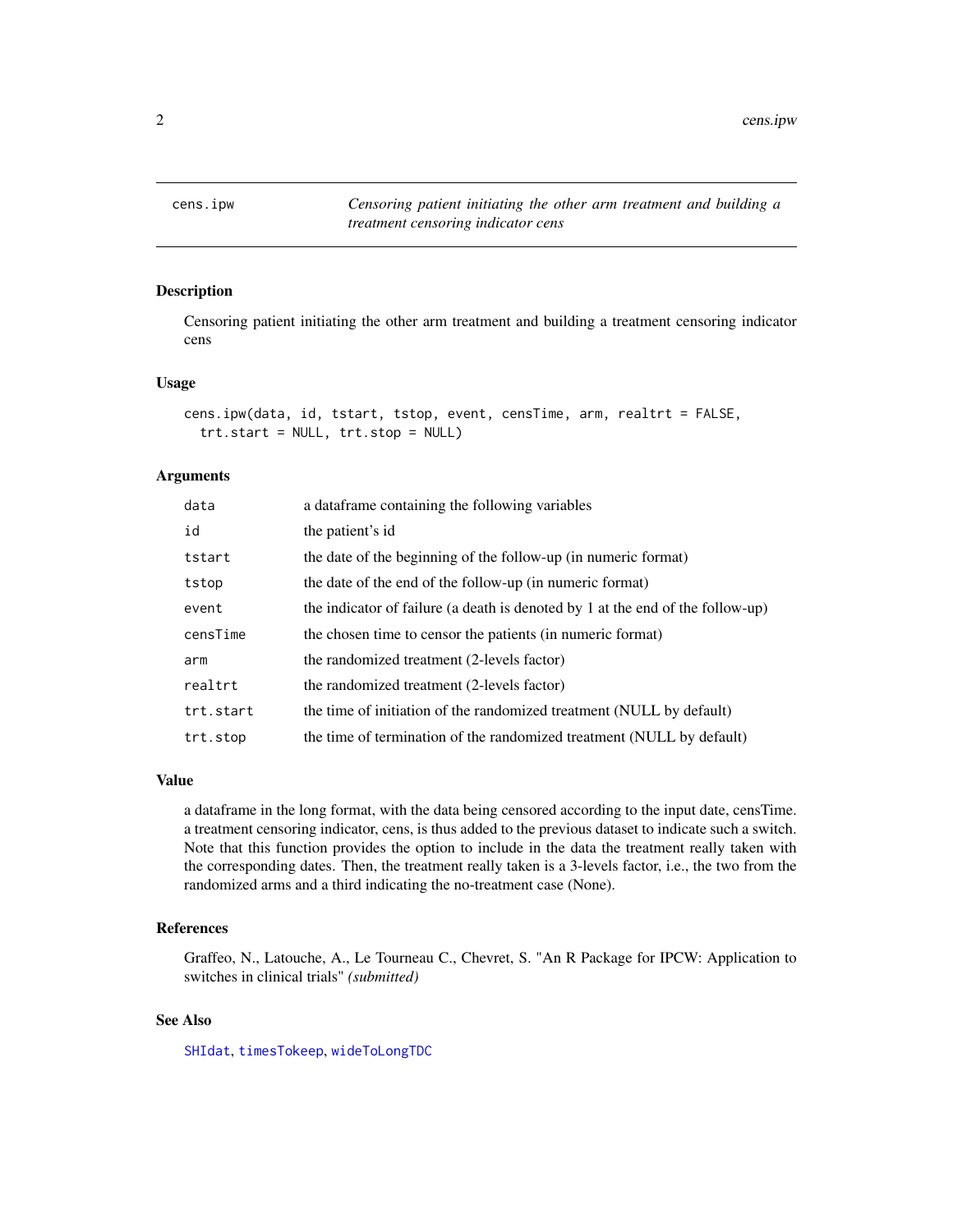<span id="page-1-0"></span>2 cens.ipw

<span id="page-1-1"></span>

## Description

Censoring patient initiating the other arm treatment and building a treatment censoring indicator cens

## Usage

```
cens.ipw(data, id, tstart, tstop, event, censTime, arm, realtrt = FALSE,
  trt.start = NULL, trt.stop = NULL)
```
## Arguments

| data      | a dataframe containing the following variables                                 |
|-----------|--------------------------------------------------------------------------------|
| id        | the patient's id                                                               |
| tstart    | the date of the beginning of the follow-up (in numeric format)                 |
| tstop     | the date of the end of the follow-up (in numeric format)                       |
| event     | the indicator of failure (a death is denoted by 1 at the end of the follow-up) |
| censTime  | the chosen time to censor the patients (in numeric format)                     |
| arm       | the randomized treatment (2-levels factor)                                     |
| realtrt   | the randomized treatment (2-levels factor)                                     |
| trt.start | the time of initiation of the randomized treatment (NULL by default)           |
| trt.stop  | the time of termination of the randomized treatment (NULL by default)          |

## Value

a dataframe in the long format, with the data being censored according to the input date, censTime. a treatment censoring indicator, cens, is thus added to the previous dataset to indicate such a switch. Note that this function provides the option to include in the data the treatment really taken with the corresponding dates. Then, the treatment really taken is a 3-levels factor, i.e., the two from the randomized arms and a third indicating the no-treatment case (None).

## References

Graffeo, N., Latouche, A., Le Tourneau C., Chevret, S. "An R Package for IPCW: Application to switches in clinical trials" *(submitted)*

## See Also

[SHIdat](#page-5-1), [timesTokeep](#page-9-1), [wideToLongTDC](#page-11-1)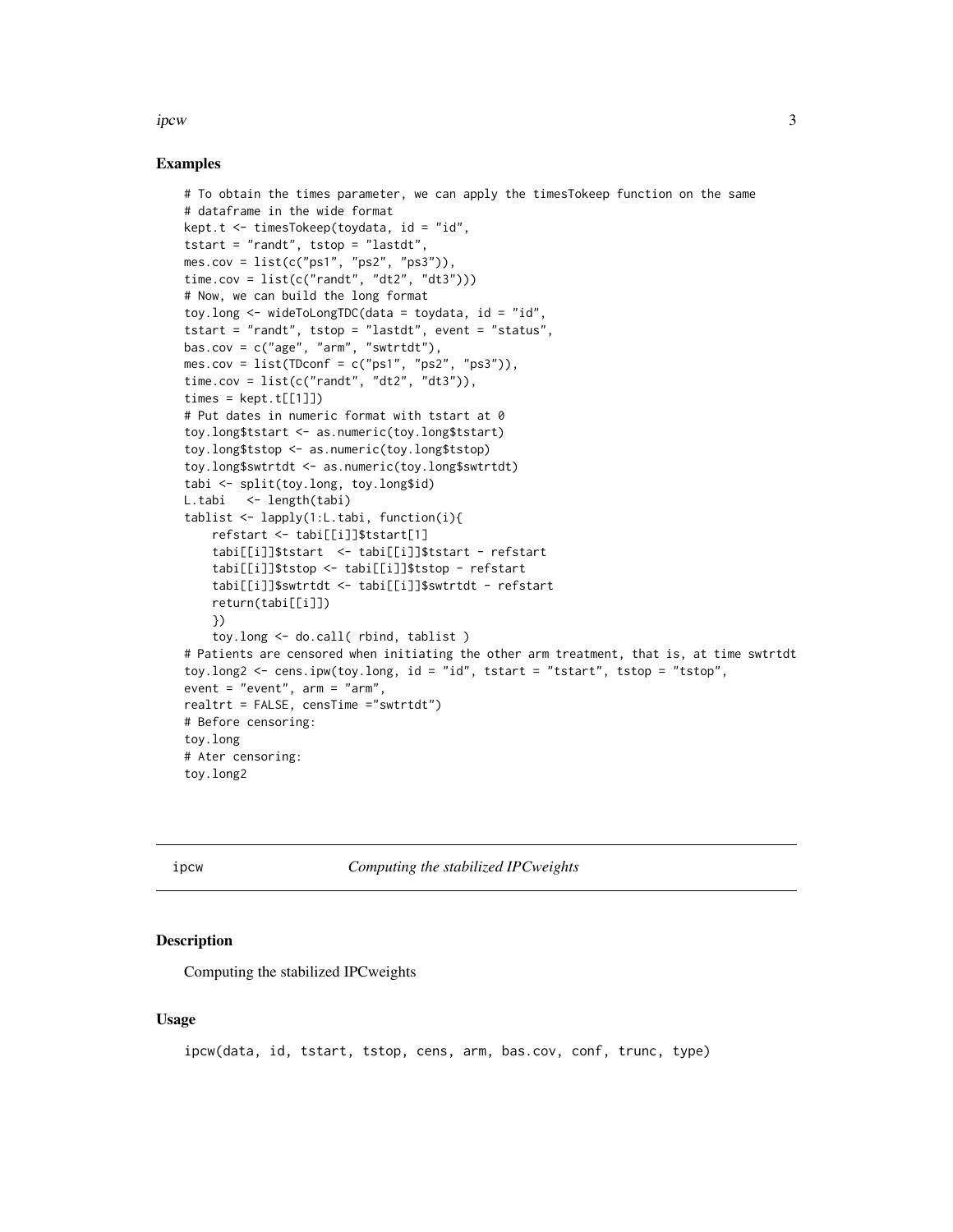<span id="page-2-0"></span>ipcw 3

## Examples

```
# To obtain the times parameter, we can apply the timesTokeep function on the same
# dataframe in the wide format
kept.t <- timesTokeep(toydata, id = "id",
tstart = "randt", tstop = "lastdt",
mes.cov = list(c("ps1", "ps2", "ps3")),
time.cov = list(c("randt", "dt2", "dt3"))# Now, we can build the long format
toy.long <- wideToLongTDC(data = toydata, id = "id",
tstart = "randt", tstop = "lastdt", event = "status",
bas.cov = c("age", "arm", "swtrtdt"),
mes.cov = list(TDconf = c("ps1", "ps2", "ps3")),
time.cov = list(c("randt", "dt2", "dt3")),
times = kept.t[[1]]# Put dates in numeric format with tstart at 0
toy.long$tstart <- as.numeric(toy.long$tstart)
toy.long$tstop <- as.numeric(toy.long$tstop)
toy.long$swtrtdt <- as.numeric(toy.long$swtrtdt)
tabi <- split(toy.long, toy.long$id)
L.tabi <- length(tabi)
tablist <- lapply(1:L.tabi, function(i){
    refstart <- tabi[[i]]$tstart[1]
    tabi[[i]]$tstart <- tabi[[i]]$tstart - refstart
    tabi[[i]]$tstop <- tabi[[i]]$tstop - refstart
    tabi[[i]]$swtrtdt <- tabi[[i]]$swtrtdt - refstart
    return(tabi[[i]])
    })
    toy.long <- do.call( rbind, tablist )
# Patients are censored when initiating the other arm treatment, that is, at time swtrtdt
toy.long2 <- cens.ipw(toy.long, id = "id", tstart = "tstart", tstop = "tstop",
event = "event", arm = "arm",
realtrt = FALSE, censTime ="swtrtdt")
# Before censoring:
toy.long
# Ater censoring:
toy.long2
```
<span id="page-2-1"></span>

ipcw *Computing the stabilized IPCweights*

## **Description**

Computing the stabilized IPCweights

## Usage

ipcw(data, id, tstart, tstop, cens, arm, bas.cov, conf, trunc, type)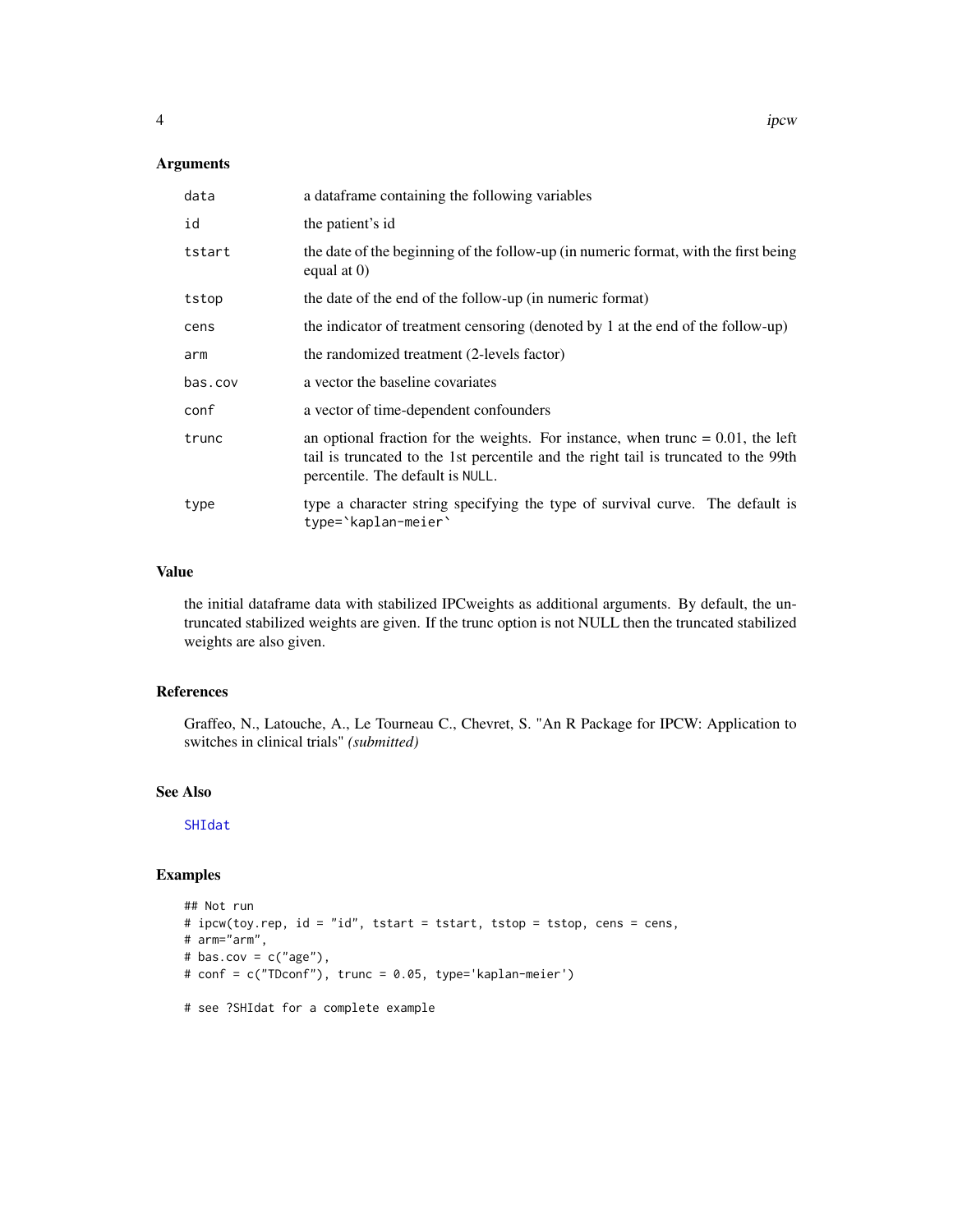## <span id="page-3-0"></span>Arguments

| data    | a dataframe containing the following variables                                                                                                                                                                |
|---------|---------------------------------------------------------------------------------------------------------------------------------------------------------------------------------------------------------------|
| id      | the patient's id                                                                                                                                                                                              |
| tstart  | the date of the beginning of the follow-up (in numeric format, with the first being<br>equal at $(0)$                                                                                                         |
| tstop   | the date of the end of the follow-up (in numeric format)                                                                                                                                                      |
| cens    | the indicator of treatment censoring (denoted by 1 at the end of the follow-up)                                                                                                                               |
| arm     | the randomized treatment (2-levels factor)                                                                                                                                                                    |
| bas.cov | a vector the baseline covariates                                                                                                                                                                              |
| conf    | a vector of time-dependent confounders                                                                                                                                                                        |
| trunc   | an optional fraction for the weights. For instance, when trunc $= 0.01$ , the left<br>tail is truncated to the 1st percentile and the right tail is truncated to the 99th<br>percentile. The default is NULL. |
| type    | type a character string specifying the type of survival curve. The default is<br>type='kaplan-meier'                                                                                                          |

## Value

the initial dataframe data with stabilized IPCweights as additional arguments. By default, the untruncated stabilized weights are given. If the trunc option is not NULL then the truncated stabilized weights are also given.

## References

Graffeo, N., Latouche, A., Le Tourneau C., Chevret, S. "An R Package for IPCW: Application to switches in clinical trials" *(submitted)*

## See Also

[SHIdat](#page-5-1)

## Examples

```
## Not run
# ipcw(toy.rep, id = "id", tstart = tstart, tstop = tstop, cens = cens,
# arm="arm",
# bas.cov = c("age"),
# conf = c("TDconf"), trunc = 0.05, type='kaplan-meier')
```

```
# see ?SHIdat for a complete example
```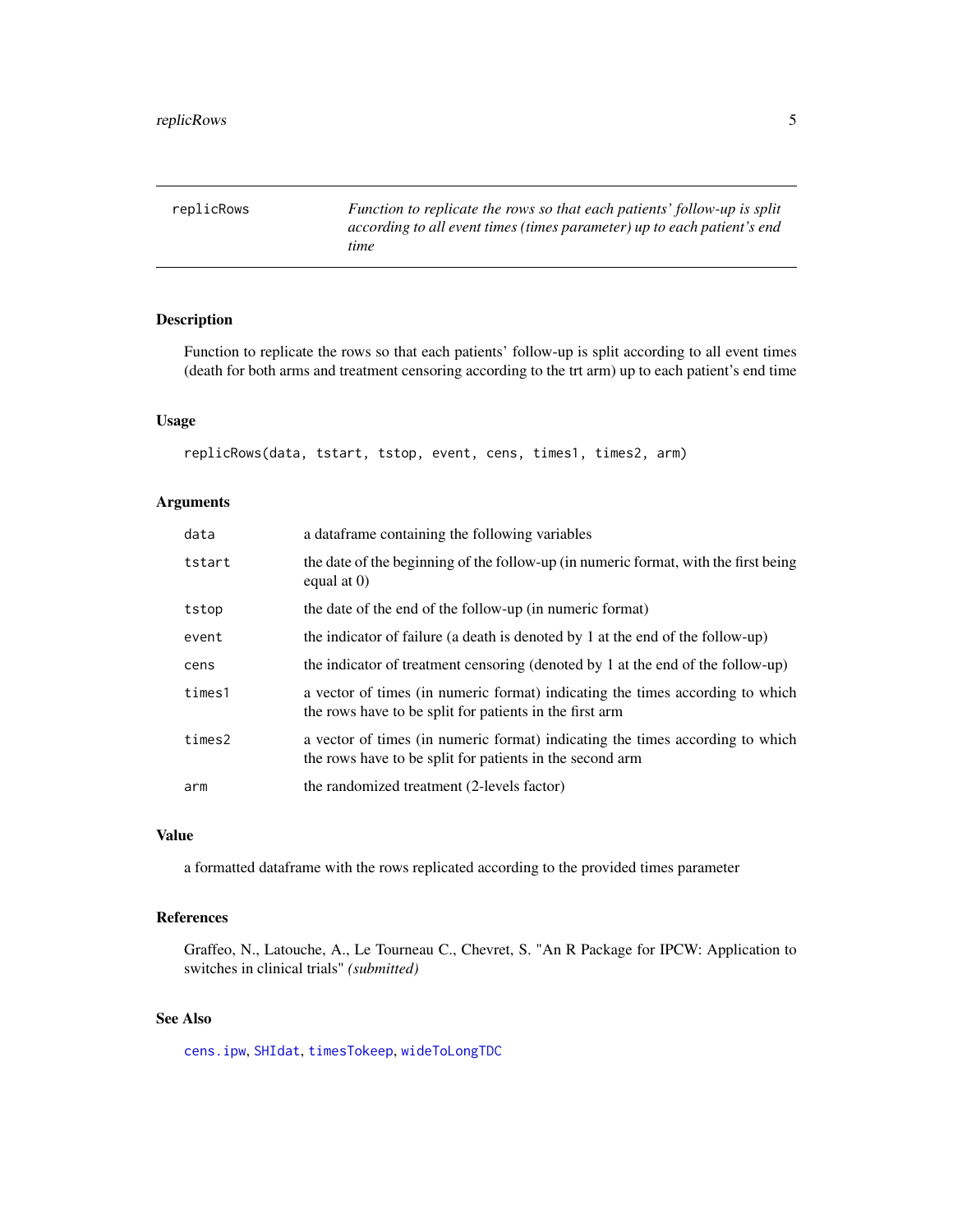<span id="page-4-1"></span><span id="page-4-0"></span>replicRows *Function to replicate the rows so that each patients' follow-up is split according to all event times (times parameter) up to each patient's end time*

## Description

Function to replicate the rows so that each patients' follow-up is split according to all event times (death for both arms and treatment censoring according to the trt arm) up to each patient's end time

## Usage

replicRows(data, tstart, tstop, event, cens, times1, times2, arm)

## Arguments

| data   | a data frame containing the following variables                                                                                           |
|--------|-------------------------------------------------------------------------------------------------------------------------------------------|
| tstart | the date of the beginning of the follow-up (in numeric format, with the first being<br>equal at $(0)$                                     |
| tstop  | the date of the end of the follow-up (in numeric format)                                                                                  |
| event  | the indicator of failure (a death is denoted by 1 at the end of the follow-up)                                                            |
| cens   | the indicator of treatment censoring (denoted by 1 at the end of the follow-up)                                                           |
| times1 | a vector of times (in numeric format) indicating the times according to which<br>the rows have to be split for patients in the first arm  |
| times2 | a vector of times (in numeric format) indicating the times according to which<br>the rows have to be split for patients in the second arm |
| arm    | the randomized treatment (2-levels factor)                                                                                                |

## Value

a formatted dataframe with the rows replicated according to the provided times parameter

## References

Graffeo, N., Latouche, A., Le Tourneau C., Chevret, S. "An R Package for IPCW: Application to switches in clinical trials" *(submitted)*

## See Also

[cens.ipw](#page-1-1), [SHIdat](#page-5-1), [timesTokeep](#page-9-1), [wideToLongTDC](#page-11-1)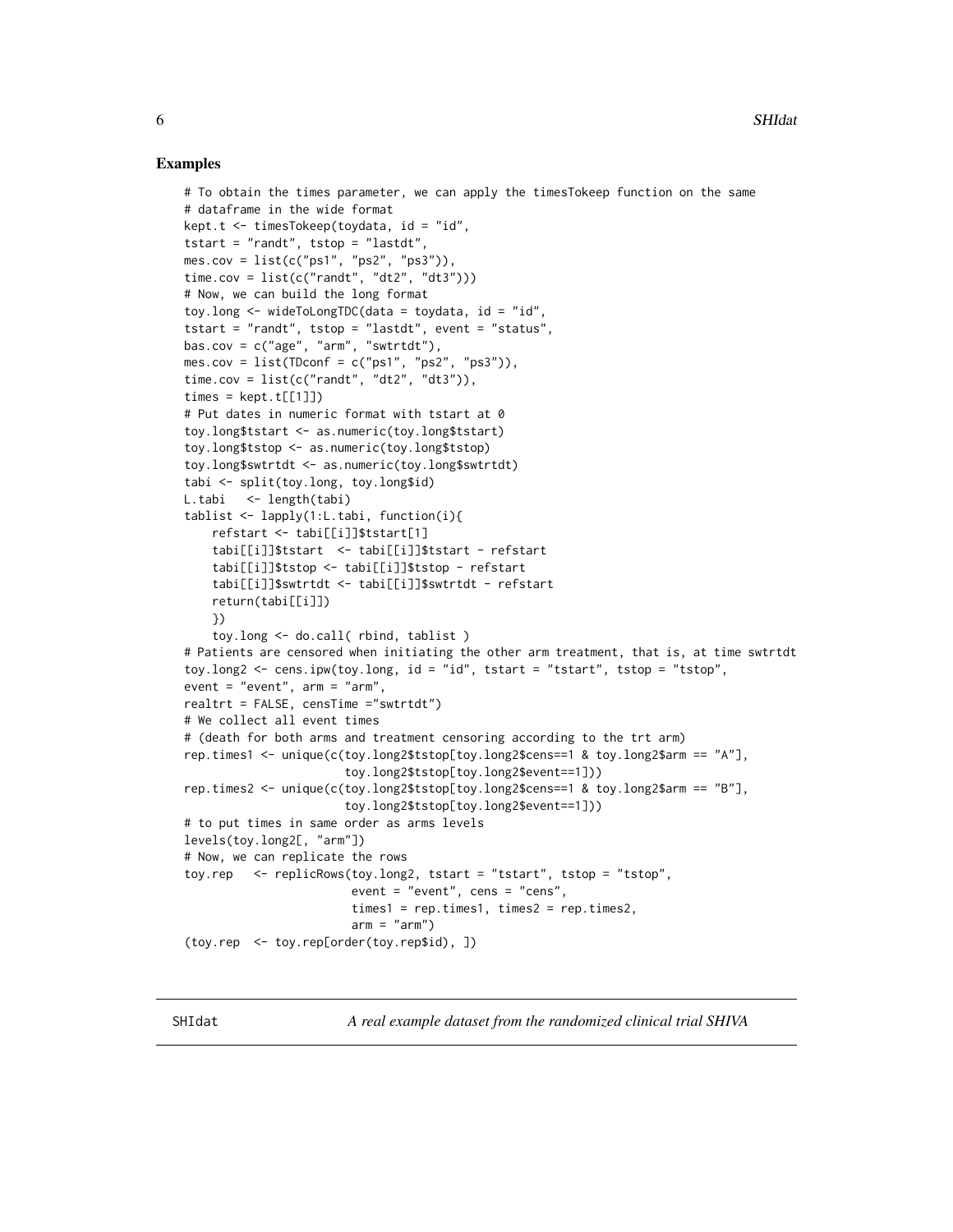## <span id="page-5-0"></span>Examples

```
# To obtain the times parameter, we can apply the timesTokeep function on the same
# dataframe in the wide format
kept.t \leq timesTokeep(tovdata, id = "id",
tstart = "randt", tstop = "lastdt",
mes.cov = list(c("ps1", "ps2", "ps3")),
time.cov = list(c("randt", "dt2", "dt3"))# Now, we can build the long format
toy.long \leq wideToLongTDC(data = toydata, id = "id",
tstart = "randt", tstop = "lastdt", event = "status",
bas.cov = c("age", "arm", "swtrtdt"),
mes.cov = list(TDconf = c("ps1", "ps2", "ps3")),
time.cov = list(c("randt", "dt2", "dt3")),
times = kept.t[[1]]# Put dates in numeric format with tstart at 0
toy.long$tstart <- as.numeric(toy.long$tstart)
toy.long$tstop <- as.numeric(toy.long$tstop)
toy.long$swtrtdt <- as.numeric(toy.long$swtrtdt)
tabi <- split(toy.long, toy.long$id)
L.tabi <- length(tabi)
tablist <- lapply(1:L.tabi, function(i){
    refstart <- tabi[[i]]$tstart[1]
    tabi[[i]]$tstart <- tabi[[i]]$tstart - refstart
    tabi[[i]]$tstop <- tabi[[i]]$tstop - refstart
    tabi[[i]]$swtrtdt <- tabi[[i]]$swtrtdt - refstart
    return(tabi[[i]])
    })
    toy.long <- do.call( rbind, tablist )
# Patients are censored when initiating the other arm treatment, that is, at time swtrtdt
toy.long2 <- cens.ipw(toy.long, id = "id", tstart = "tstart", tstop = "tstop",
event = "event", arm = "arm",
realtrt = FALSE, censTime ="swtrtdt")
# We collect all event times
# (death for both arms and treatment censoring according to the trt arm)
rep.times1 <- unique(c(toy.long2$tstop[toy.long2$cens==1 & toy.long2$arm == "A"],
                       toy.long2$tstop[toy.long2$event==1]))
rep.times2 <- unique(c(toy.long2$tstop[toy.long2$cens==1 & toy.long2$arm == "B"],
                       toy.long2$tstop[toy.long2$event==1]))
# to put times in same order as arms levels
levels(toy.long2[, "arm"])
# Now, we can replicate the rows
toy.rep <- replicRows(toy.long2, tstart = "tstart", tstop = "tstop",
                        event = "event", cens = "cens",
                        times1 = rep.time1, times2 = rep.time2,arm = "arm")(toy.rep <- toy.rep[order(toy.rep$id), ])
```
<span id="page-5-1"></span>SHIdat *A real example dataset from the randomized clinical trial SHIVA*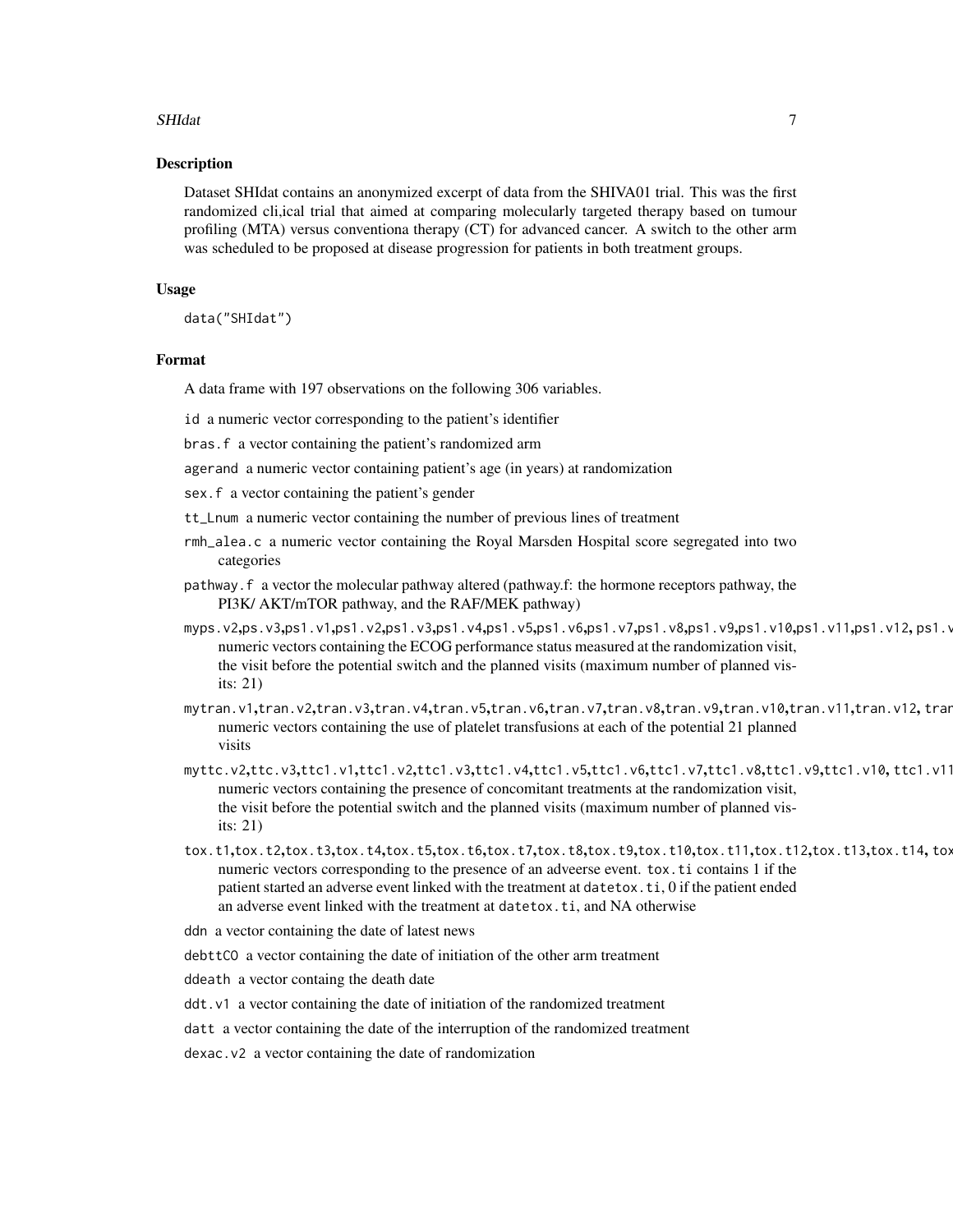## SHIdat 7 and 7 and 7 and 7 and 7 and 7 and 7 and 7 and 7 and 7 and 7 and 7 and 7 and 7 and 7 and 7 and 7 and 7

#### Description

Dataset SHIdat contains an anonymized excerpt of data from the SHIVA01 trial. This was the first randomized cli,ical trial that aimed at comparing molecularly targeted therapy based on tumour profiling (MTA) versus conventiona therapy (CT) for advanced cancer. A switch to the other arm was scheduled to be proposed at disease progression for patients in both treatment groups.

## Usage

data("SHIdat")

#### Format

A data frame with 197 observations on the following 306 variables.

id a numeric vector corresponding to the patient's identifier

bras.f a vector containing the patient's randomized arm

agerand a numeric vector containing patient's age (in years) at randomization

sex.f a vector containing the patient's gender

tt\_Lnum a numeric vector containing the number of previous lines of treatment

- rmh\_alea.c a numeric vector containing the Royal Marsden Hospital score segregated into two categories
- pathway.f a vector the molecular pathway altered (pathway.f: the hormone receptors pathway, the PI3K/ AKT/mTOR pathway, and the RAF/MEK pathway)
- myps.v2,ps.v3,ps1.v1,ps1.v2,ps1.v3,ps1.v4,ps1.v5,ps1.v6,ps1.v7,ps1.v8,ps1.v9,ps1.v10,ps1.v11,ps1.v12, ps1.v13,ps1.v14,ps1.v15,ps1.v16,ps1.v17,ps1.v18,ps1.v19,ps1.v20, ps1.v21 numeric vectors containing the ECOG performance status measured at the randomization visit, the visit before the potential switch and the planned visits (maximum number of planned visits: 21)
- mytran.v1,tran.v2,tran.v3,tran.v4,tran.v5,tran.v6,tran.v7,tran.v8,tran.v9,tran.v10,tran.v11,tran.v12, tran.v13,tran.v14,tran.v15,tran.v16,tran.v17,tran.v18,tran.v19,tran.v20,tran.v21 numeric vectors containing the use of platelet transfusions at each of the potential 21 planned visits
- myttc.v2,ttc.v3,ttc1.v1,ttc1.v2,ttc1.v3,ttc1.v4,ttc1.v5,ttc1.v6,ttc1.v7,ttc1.v8,ttc1.v9,ttc1.v10,ttc1.v11 numeric vectors containing the presence of concomitant treatments at the randomization visit, the visit before the potential switch and the planned visits (maximum number of planned visits: 21)
- tox.t1,tox.t2,tox.t3,tox.t4,tox.t5,tox.t6,tox.t7,tox.t8,tox.t9,tox.t10,tox.t11,tox.t12,tox.t13,tox.t14,tox numeric vectors corresponding to the presence of an adveerse event. tox.ti contains 1 if the patient started an adverse event linked with the treatment at datetox.ti, 0 if the patient ended an adverse event linked with the treatment at datetox.ti, and NA otherwise
- ddn a vector containing the date of latest news

debttCO a vector containing the date of initiation of the other arm treatment

ddeath a vector containg the death date

ddt.v1 a vector containing the date of initiation of the randomized treatment

datt a vector containing the date of the interruption of the randomized treatment

dexac.v2 a vector containing the date of randomization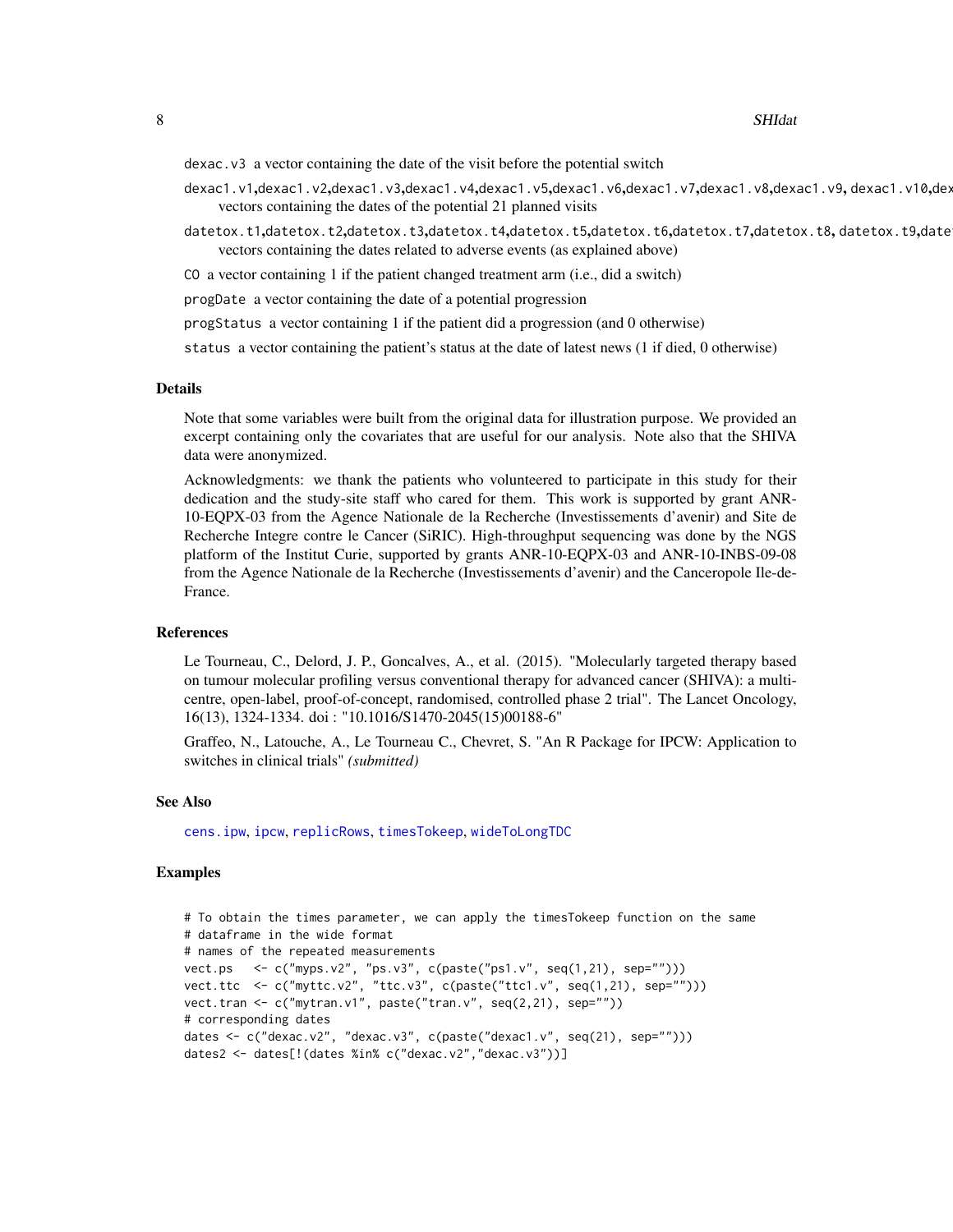### <span id="page-7-0"></span>8 SHIdating the state of the state of the state of the state of the state of the state of the state of the state of the state of the state of the state of the state of the state of the state of the state of the state of th

dexac.v3 a vector containing the date of the visit before the potential switch

- dexac1.v1,dexac1.v2,dexac1.v3,dexac1.v4,dexac1.v5,dexac1.v6,dexac1.v7,dexac1.v8,dexac1.v9, dexac1.v10,dex vectors containing the dates of the potential 21 planned visits
- datetox.t1,datetox.t2,datetox.t3,datetox.t4,datetox.t5,datetox.t6,datetox.t7,datetox.t8,datetox.t9,date vectors containing the dates related to adverse events (as explained above)

CO a vector containing 1 if the patient changed treatment arm (i.e., did a switch)

progDate a vector containing the date of a potential progression

progStatus a vector containing 1 if the patient did a progression (and 0 otherwise)

status a vector containing the patient's status at the date of latest news (1 if died, 0 otherwise)

#### Details

Note that some variables were built from the original data for illustration purpose. We provided an excerpt containing only the covariates that are useful for our analysis. Note also that the SHIVA data were anonymized.

Acknowledgments: we thank the patients who volunteered to participate in this study for their dedication and the study-site staff who cared for them. This work is supported by grant ANR-10-EQPX-03 from the Agence Nationale de la Recherche (Investissements d'avenir) and Site de Recherche Integre contre le Cancer (SiRIC). High-throughput sequencing was done by the NGS platform of the Institut Curie, supported by grants ANR-10-EQPX-03 and ANR-10-INBS-09-08 from the Agence Nationale de la Recherche (Investissements d'avenir) and the Canceropole Ile-de-France.

## References

Le Tourneau, C., Delord, J. P., Goncalves, A., et al. (2015). "Molecularly targeted therapy based on tumour molecular profiling versus conventional therapy for advanced cancer (SHIVA): a multicentre, open-label, proof-of-concept, randomised, controlled phase 2 trial". The Lancet Oncology, 16(13), 1324-1334. doi : "10.1016/S1470-2045(15)00188-6"

Graffeo, N., Latouche, A., Le Tourneau C., Chevret, S. "An R Package for IPCW: Application to switches in clinical trials" *(submitted)*

## See Also

[cens.ipw](#page-1-1), [ipcw](#page-2-1), [replicRows](#page-4-1), [timesTokeep](#page-9-1), [wideToLongTDC](#page-11-1)

## Examples

```
# To obtain the times parameter, we can apply the timesTokeep function on the same
# dataframe in the wide format
# names of the repeated measurements
vect.ps <- c("myps.v2", "ps.v3", c(paste("ps1.v", seq(1,21), sep="")))
vect.ttc <- c("myttc.v2", "ttc.v3", c(paste("ttc1.v", seq(1,21), sep="")))
vect.tran <- c("mytran.v1", paste("tran.v", seq(2,21), sep=""))
# corresponding dates
dates <- c("dexac.v2", "dexac.v3", c(paste("dexac1.v", seq(21), sep="")))
dates2 <- dates[!(dates %in% c("dexac.v2","dexac.v3"))]
```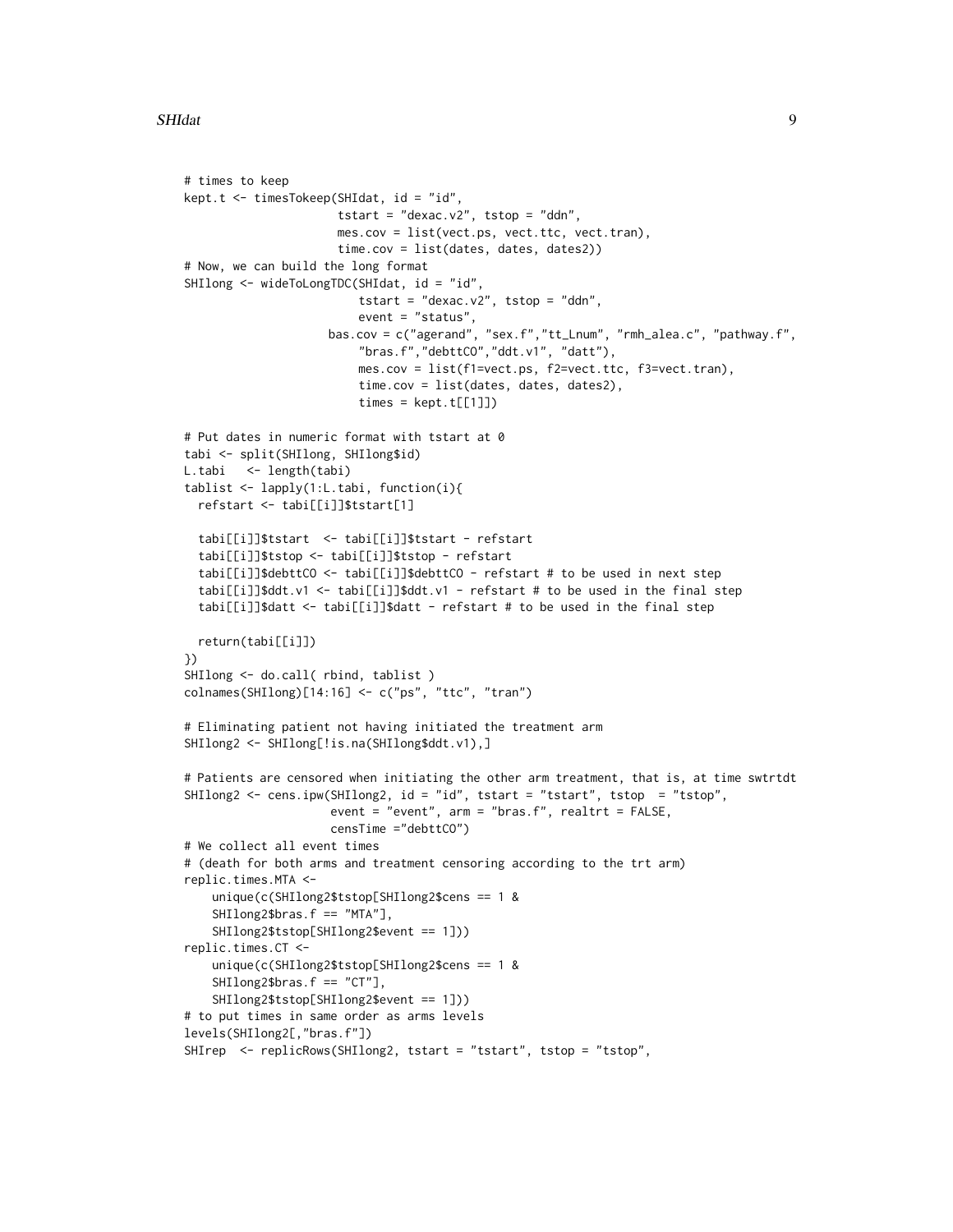```
# times to keep
kept.t <- timesTokeep(SHIdat, id = "id",
                      tstart = "dexac.v2", tstop = "ddn",
                      mes.cov = list(vect.ps, vect.ttc, vect.tran),
                      time.cov = list(dates, dates, dates2))
# Now, we can build the long format
SHIlong <- wideToLongTDC(SHIdat, id = "id",
                         tstart = "dexac.v2", tstop = "ddn",
                         event = "status",
                    bas.cov = c("agerand", "sex.f","tt_Lnum", "rmh_alea.c", "pathway.f",
                         "bras.f","debttCO","ddt.v1", "datt"),
                         mes.cov = list(f1=vect.ps, f2=vect.ttc, f3=vect.tran),
                         time.cov = list(dates, dates, dates2),
                         times = kept.t[[1]]# Put dates in numeric format with tstart at 0
tabi <- split(SHIlong, SHIlong$id)
L.tabi <- length(tabi)
tablist <- lapply(1:L.tabi, function(i){
  refstart <- tabi[[i]]$tstart[1]
  tabi[[i]]$tstart <- tabi[[i]]$tstart - refstart
  tabi[[i]]$tstop <- tabi[[i]]$tstop - refstart
  tabi[[i]]$debttCO <- tabi[[i]]$debttCO - refstart # to be used in next step
  tabi[[i]]$ddt.v1 <- tabi[[i]]$ddt.v1 - refstart # to be used in the final step
  tabi[[i]]$datt <- tabi[[i]]$datt - refstart # to be used in the final step
  return(tabi[[i]])
})
SHIlong <- do.call( rbind, tablist )
colnames(SHIlong)[14:16] <- c("ps", "ttc", "tran")
# Eliminating patient not having initiated the treatment arm
SHIlong2 <- SHIlong[!is.na(SHIlong$ddt.v1),]
# Patients are censored when initiating the other arm treatment, that is, at time swtrtdt
SHIlong2 <- cens.ipw(SHIlong2, id = "id", tstart = "tstart", tstop = "tstop",
                     event = "event", arm = "bras.f", realtrt = FALSE,
                     censTime ="debttCO")
# We collect all event times
# (death for both arms and treatment censoring according to the trt arm)
replic.times.MTA <-
    unique(c(SHIlong2$tstop[SHIlong2$cens == 1 &
    SHIlong2$bras.f == "MTA"],
    SHIlong2$tstop[SHIlong2$event == 1]))
replic.times.CT <-
    unique(c(SHIlong2$tstop[SHIlong2$cens == 1 &
    SHIlong2$bras.f == "CT"],
    SHIlong2$tstop[SHIlong2$event == 1]))
# to put times in same order as arms levels
levels(SHIlong2[,"bras.f"])
SHIrep <- replicRows(SHIlong2, tstart = "tstart", tstop = "tstop",
```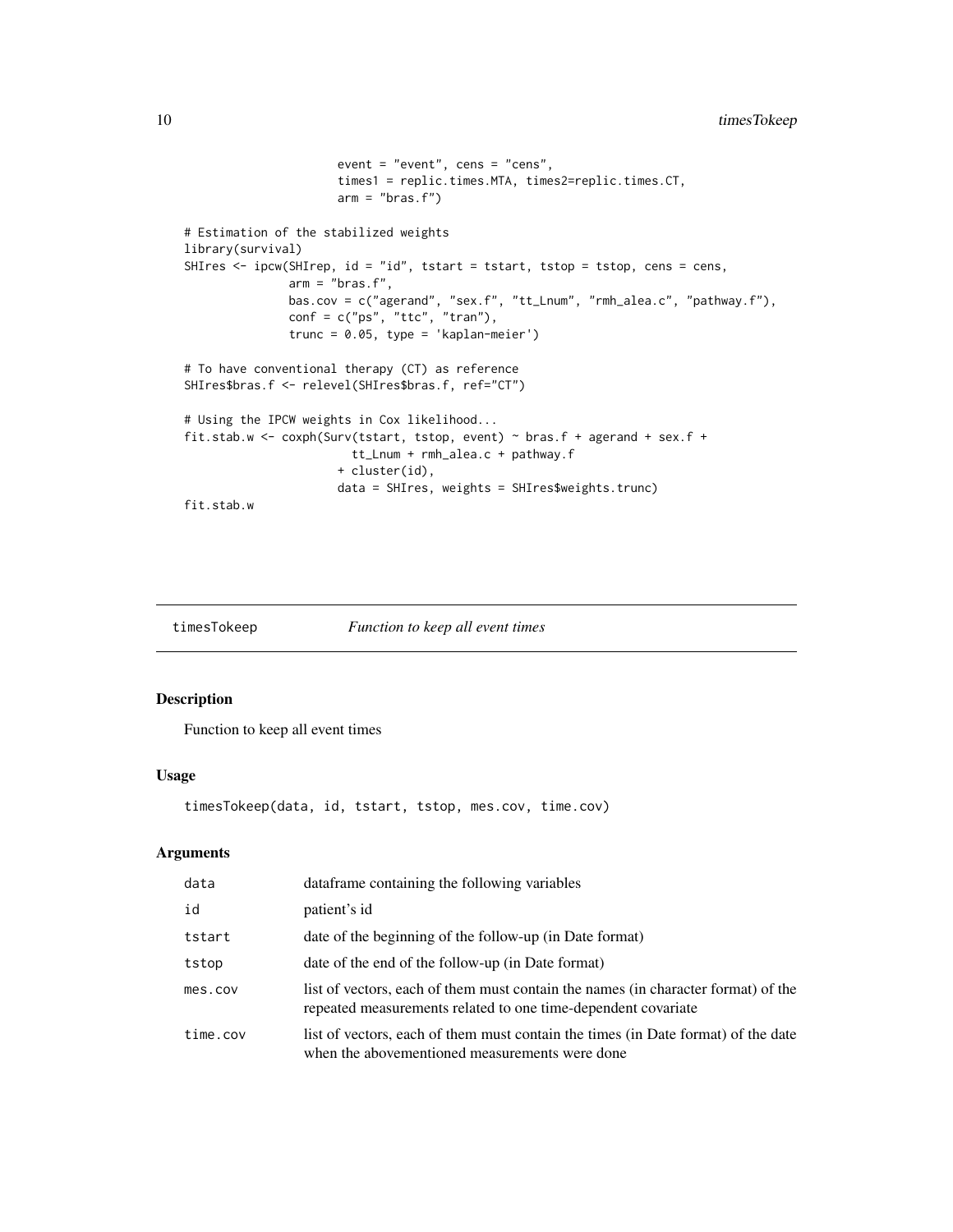```
event = "event", cens = "cens",
                      times1 = replic.times.MTA, times2=replic.times.CT,
                      arm = "bras.f")# Estimation of the stabilized weights
library(survival)
SHIres <- ipcw(SHIrep, id = "id", tstart = tstart, tstop = tstop, cens = cens,
              arm = "bras.f",bas.cov = c("agerand", "sex.f", "tt_Lnum", "rmh_alea.c", "pathway.f"),
              conf = c("ps", "ttc", "tran"),trunc = 0.05, type = 'kaplan-meier')
# To have conventional therapy (CT) as reference
SHIres$bras.f <- relevel(SHIres$bras.f, ref="CT")
# Using the IPCW weights in Cox likelihood...
fit.stab.w <- coxph(Surv(tstart, tstop, event) ~ bras.f + agerand + sex.f +
                       tt_Lnum + rmh_alea.c + pathway.f
                      + cluster(id),
                      data = SHIres, weights = SHIres$weights.trunc)
fit.stab.w
```
<span id="page-9-1"></span>

| timesTokeep | Function to keep all event times |
|-------------|----------------------------------|
|-------------|----------------------------------|

## Description

Function to keep all event times

## Usage

```
timesTokeep(data, id, tstart, tstop, mes.cov, time.cov)
```
## Arguments

| data     | dataframe containing the following variables                                                                                                       |
|----------|----------------------------------------------------------------------------------------------------------------------------------------------------|
| id       | patient's id                                                                                                                                       |
| tstart   | date of the beginning of the follow-up (in Date format)                                                                                            |
| tstop    | date of the end of the follow-up (in Date format)                                                                                                  |
| mes.cov  | list of vectors, each of them must contain the names (in character format) of the<br>repeated measurements related to one time-dependent covariate |
| time.cov | list of vectors, each of them must contain the times (in Date format) of the date<br>when the abovementioned measurements were done                |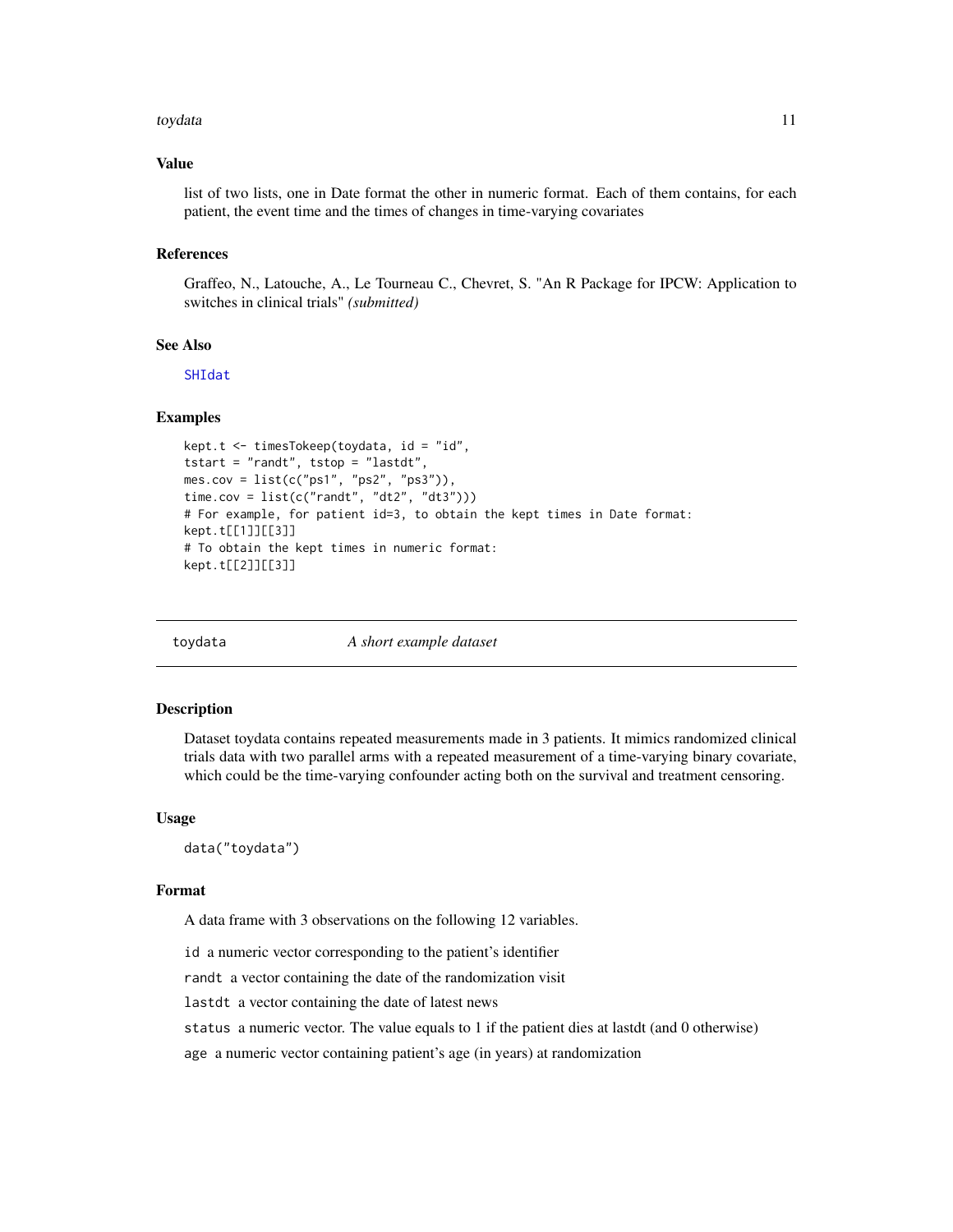### <span id="page-10-0"></span>toydata 11

## Value

list of two lists, one in Date format the other in numeric format. Each of them contains, for each patient, the event time and the times of changes in time-varying covariates

## References

Graffeo, N., Latouche, A., Le Tourneau C., Chevret, S. "An R Package for IPCW: Application to switches in clinical trials" *(submitted)*

## See Also

[SHIdat](#page-5-1)

## Examples

```
kept.t <- timesTokeep(toydata, id = "id",
tstart = "randt", tstop = "lastdt",
mes.cov = list(c("ps1", "ps2", "ps3")),
time.cov = list(c("randt", "dt2", "dt3")))
# For example, for patient id=3, to obtain the kept times in Date format:
kept.t[[1]][[3]]
# To obtain the kept times in numeric format:
kept.t[[2]][[3]]
```
toydata *A short example dataset*

#### Description

Dataset toydata contains repeated measurements made in 3 patients. It mimics randomized clinical trials data with two parallel arms with a repeated measurement of a time-varying binary covariate, which could be the time-varying confounder acting both on the survival and treatment censoring.

## Usage

data("toydata")

#### Format

A data frame with 3 observations on the following 12 variables.

id a numeric vector corresponding to the patient's identifier

randt a vector containing the date of the randomization visit

lastdt a vector containing the date of latest news

status a numeric vector. The value equals to 1 if the patient dies at lastdt (and 0 otherwise)

age a numeric vector containing patient's age (in years) at randomization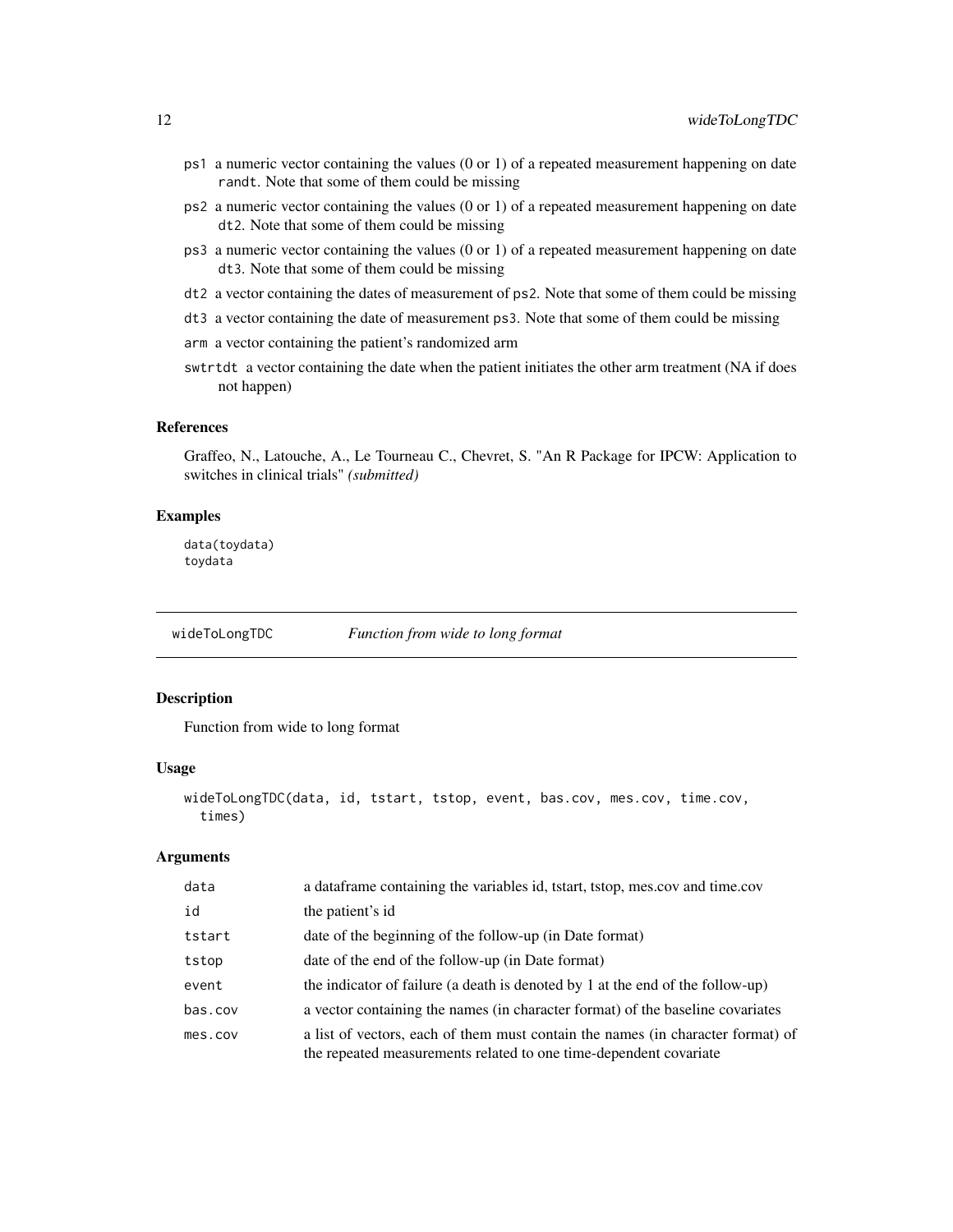- <span id="page-11-0"></span>ps1 a numeric vector containing the values (0 or 1) of a repeated measurement happening on date randt. Note that some of them could be missing
- ps2 a numeric vector containing the values (0 or 1) of a repeated measurement happening on date dt2. Note that some of them could be missing
- ps3 a numeric vector containing the values (0 or 1) of a repeated measurement happening on date dt3. Note that some of them could be missing
- dt2 a vector containing the dates of measurement of ps2. Note that some of them could be missing
- dt3 a vector containing the date of measurement ps3. Note that some of them could be missing
- arm a vector containing the patient's randomized arm
- swtrtdt a vector containing the date when the patient initiates the other arm treatment (NA if does not happen)

## References

Graffeo, N., Latouche, A., Le Tourneau C., Chevret, S. "An R Package for IPCW: Application to switches in clinical trials" *(submitted)*

## Examples

data(toydata) toydata

<span id="page-11-1"></span>wideToLongTDC *Function from wide to long format*

## Description

Function from wide to long format

## Usage

```
wideToLongTDC(data, id, tstart, tstop, event, bas.cov, mes.cov, time.cov,
  times)
```
## Arguments

| data    | a data frame containing the variables id, tstart, tstop, mes.cov and time.cov                                                                        |
|---------|------------------------------------------------------------------------------------------------------------------------------------------------------|
| id      | the patient's id                                                                                                                                     |
| tstart  | date of the beginning of the follow-up (in Date format)                                                                                              |
| tstop   | date of the end of the follow-up (in Date format)                                                                                                    |
| event   | the indicator of failure (a death is denoted by 1 at the end of the follow-up)                                                                       |
| bas.cov | a vector containing the names (in character format) of the baseline covariates                                                                       |
| mes.cov | a list of vectors, each of them must contain the names (in character format) of<br>the repeated measurements related to one time-dependent covariate |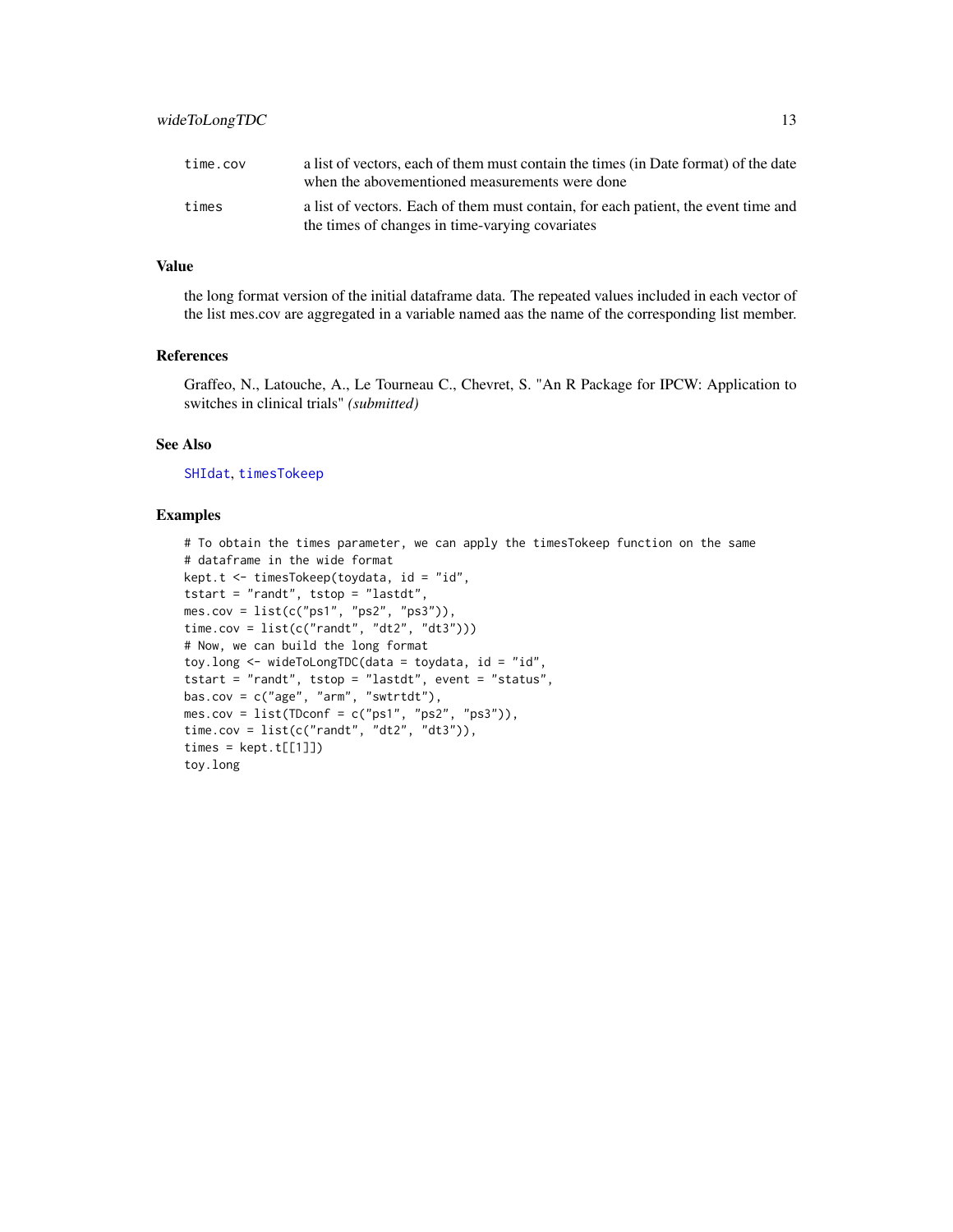<span id="page-12-0"></span>

| time.cov | a list of vectors, each of them must contain the times (in Date format) of the date<br>when the abovementioned measurements were done |
|----------|---------------------------------------------------------------------------------------------------------------------------------------|
| times    | a list of vectors. Each of them must contain, for each patient, the event time and<br>the times of changes in time-varying covariates |

## Value

the long format version of the initial dataframe data. The repeated values included in each vector of the list mes.cov are aggregated in a variable named aas the name of the corresponding list member.

## References

Graffeo, N., Latouche, A., Le Tourneau C., Chevret, S. "An R Package for IPCW: Application to switches in clinical trials" *(submitted)*

## See Also

[SHIdat](#page-5-1), [timesTokeep](#page-9-1)

## Examples

```
# To obtain the times parameter, we can apply the timesTokeep function on the same
# dataframe in the wide format
kept.t <- timesTokeep(toydata, id = "id",
tstart = "randt", tstop = "lastdt",
mes.cov = list(c("ps1", "ps2", "ps3")),
time.cov = list(c("randt", "dt2", "dt3"))# Now, we can build the long format
toy.long <- wideToLongTDC(data = toydata, id = "id",
tstart = "randt", tstop = "lastdt", event = "status",
bas.cov = c("age", "arm", "swtrtdt"),
mes.cov = list(TDconf = c("ps1", "ps2", "ps3")),
time.cov = list(c("randt", "dt2", "dt3")),
times = kept.t[[1]])
toy.long
```